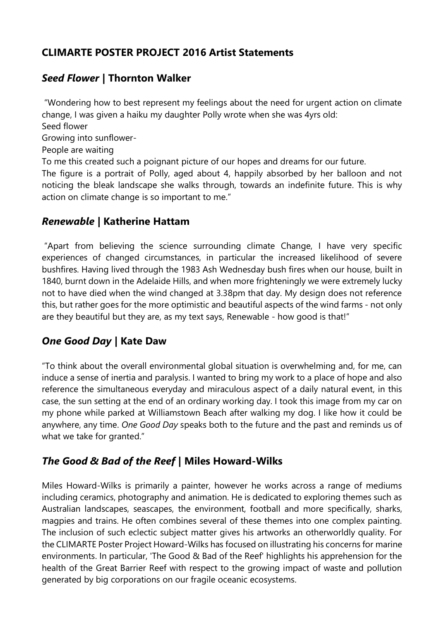## **CLIMARTE POSTER PROJECT 2016 Artist Statements**

## *Seed Flower* **| Thornton Walker**

"Wondering how to best represent my feelings about the need for urgent action on climate change, I was given a haiku my daughter Polly wrote when she was 4yrs old: Seed flower Growing into sunflower-People are waiting To me this created such a poignant picture of our hopes and dreams for our future. The figure is a portrait of Polly, aged about 4, happily absorbed by her balloon and not noticing the bleak landscape she walks through, towards an indefinite future. This is why action on climate change is so important to me."

#### *Renewable |* **Katherine Hattam**

"Apart from believing the science surrounding climate Change, I have very specific experiences of changed circumstances, in particular the increased likelihood of severe bushfires. Having lived through the 1983 Ash Wednesday bush fires when our house, built in 1840, burnt down in the Adelaide Hills, and when more frighteningly we were extremely lucky not to have died when the wind changed at 3.38pm that day. My design does not reference this, but rather goes for the more optimistic and beautiful aspects of the wind farms - not only are they beautiful but they are, as my text says, Renewable - how good is that!"

# *One Good Day |* **Kate Daw**

"To think about the overall environmental global situation is overwhelming and, for me, can induce a sense of inertia and paralysis. I wanted to bring my work to a place of hope and also reference the simultaneous everyday and miraculous aspect of a daily natural event, in this case, the sun setting at the end of an ordinary working day. I took this image from my car on my phone while parked at Williamstown Beach after walking my dog. I like how it could be anywhere, any time. *One Good Day* speaks both to the future and the past and reminds us of what we take for granted."

### *The Good & Bad of the Reef* **| Miles Howard-Wilks**

Miles Howard-Wilks is primarily a painter, however he works across a range of mediums including ceramics, photography and animation. He is dedicated to exploring themes such as Australian landscapes, seascapes, the environment, football and more specifically, sharks, magpies and trains. He often combines several of these themes into one complex painting. The inclusion of such eclectic subject matter gives his artworks an otherworldly quality. For the CLIMARTE Poster Project Howard-Wilks has focused on illustrating his concerns for marine environments. In particular, 'The Good & Bad of the Reef' highlights his apprehension for the health of the Great Barrier Reef with respect to the growing impact of waste and pollution generated by big corporations on our fragile oceanic ecosystems.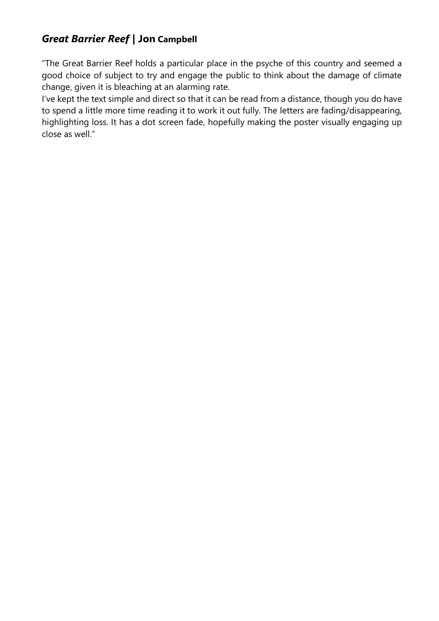# *Great Barrier Reef* **| Jon Campbell**

"The Great Barrier Reef holds a particular place in the psyche of this country and seemed a good choice of subject to try and engage the public to think about the damage of climate change, given it is bleaching at an alarming rate.

I've kept the text simple and direct so that it can be read from a distance, though you do have to spend a little more time reading it to work it out fully. The letters are fading/disappearing, highlighting loss. It has a dot screen fade, hopefully making the poster visually engaging up close as well."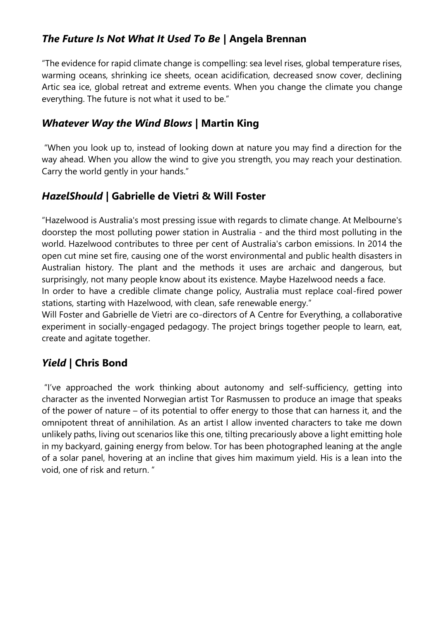# *The Future Is Not What It Used To Be |* **Angela Brennan**

"The evidence for rapid climate change is compelling: sea level rises, global temperature rises, warming oceans, shrinking ice sheets, ocean acidification, decreased snow cover, declining Artic sea ice, global retreat and extreme events. When you change the climate you change everything. The future is not what it used to be."

#### *Whatever Way the Wind Blows* **| Martin King**

"When you look up to, instead of looking down at nature you may find a direction for the way ahead. When you allow the wind to give you strength, you may reach your destination. Carry the world gently in your hands."

## *HazelShould* **| Gabrielle de Vietri & Will Foster**

"Hazelwood is Australia's most pressing issue with regards to climate change. At Melbourne's doorstep the most polluting power station in Australia - and the third most polluting in the world. Hazelwood contributes to three per cent of Australia's carbon emissions. In 2014 the open cut mine set fire, causing one of the worst environmental and public health disasters in Australian history. The plant and the methods it uses are archaic and dangerous, but surprisingly, not many people know about its existence. Maybe Hazelwood needs a face.

In order to have a credible climate change policy, Australia must replace coal-fired power stations, starting with Hazelwood, with clean, safe renewable energy."

Will Foster and Gabrielle de Vietri are co-directors of A Centre for Everything, a collaborative experiment in socially-engaged pedagogy. The project brings together people to learn, eat, create and agitate together.

# *Yield* **| Chris Bond**

"I've approached the work thinking about autonomy and self-sufficiency, getting into character as the invented Norwegian artist Tor Rasmussen to produce an image that speaks of the power of nature – of its potential to offer energy to those that can harness it, and the omnipotent threat of annihilation. As an artist I allow invented characters to take me down unlikely paths, living out scenarios like this one, tilting precariously above a light emitting hole in my backyard, gaining energy from below. Tor has been photographed leaning at the angle of a solar panel, hovering at an incline that gives him maximum yield. His is a lean into the void, one of risk and return. "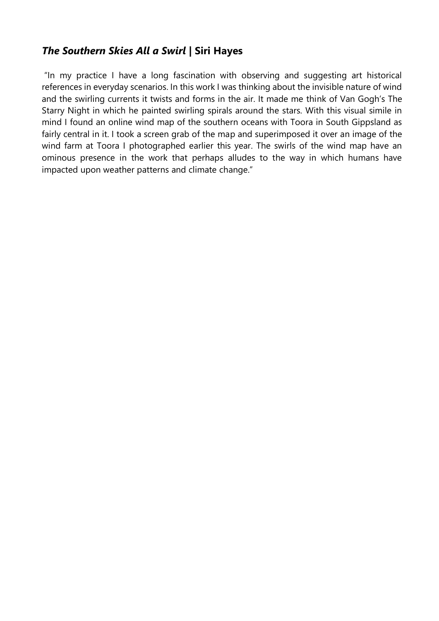### *The Southern Skies All a Swirl* **| Siri Hayes**

"In my practice I have a long fascination with observing and suggesting art historical references in everyday scenarios. In this work I was thinking about the invisible nature of wind and the swirling currents it twists and forms in the air. It made me think of Van Gogh's The Starry Night in which he painted swirling spirals around the stars. With this visual simile in mind I found an online wind map of the southern oceans with Toora in South Gippsland as fairly central in it. I took a screen grab of the map and superimposed it over an image of the wind farm at Toora I photographed earlier this year. The swirls of the wind map have an ominous presence in the work that perhaps alludes to the way in which humans have impacted upon weather patterns and climate change."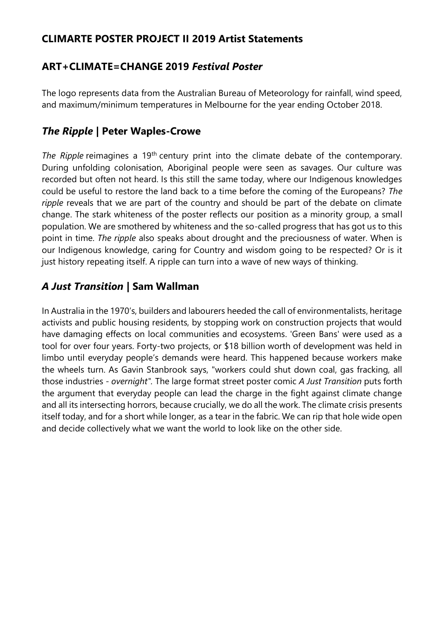### **CLIMARTE POSTER PROJECT II 2019 Artist Statements**

## **ART+CLIMATE=CHANGE 2019** *Festival Poster*

The logo represents data from the Australian Bureau of Meteorology for rainfall, wind speed, and maximum/minimum temperatures in Melbourne for the year ending October 2018.

### *The Ripple* **| Peter Waples-Crowe**

The Ripple reimagines a 19<sup>th</sup> century print into the climate debate of the contemporary. During unfolding colonisation, Aboriginal people were seen as savages. Our culture was recorded but often not heard. Is this still the same today, where our Indigenous knowledges could be useful to restore the land back to a time before the coming of the Europeans? *The ripple* reveals that we are part of the country and should be part of the debate on climate change. The stark whiteness of the poster reflects our position as a minority group, a small population. We are smothered by whiteness and the so-called progress that has got us to this point in time. *The ripple* also speaks about drought and the preciousness of water. When is our Indigenous knowledge, caring for Country and wisdom going to be respected? Or is it just history repeating itself. A ripple can turn into a wave of new ways of thinking.

### *A Just Transition* **| Sam Wallman**

In Australia in the 1970's, builders and labourers heeded the call of environmentalists, heritage activists and public housing residents, by stopping work on construction projects that would have damaging effects on local communities and ecosystems. 'Green Bans' were used as a tool for over four years. Forty-two projects, or \$18 billion worth of development was held in limbo until everyday people's demands were heard. This happened because workers make the wheels turn. As Gavin Stanbrook says, "workers could shut down coal, gas fracking, all those industries - *overnight".* The large format street poster comic *A Just Transition* puts forth the argument that everyday people can lead the charge in the fight against climate change and all its intersecting horrors, because crucially, we do all the work. The climate crisis presents itself today, and for a short while longer, as a tear in the fabric. We can rip that hole wide open and decide collectively what we want the world to look like on the other side.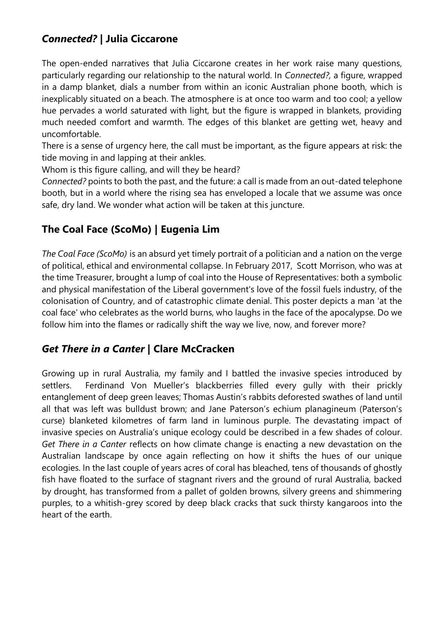# *Connected?* **| Julia Ciccarone**

The open-ended narratives that Julia Ciccarone creates in her work raise many questions, particularly regarding our relationship to the natural world. In *Connected?,* a figure, wrapped in a damp blanket, dials a number from within an iconic Australian phone booth, which is inexplicably situated on a beach. The atmosphere is at once too warm and too cool; a yellow hue pervades a world saturated with light, but the figure is wrapped in blankets, providing much needed comfort and warmth. The edges of this blanket are getting wet, heavy and uncomfortable.

There is a sense of urgency here, the call must be important, as the figure appears at risk: the tide moving in and lapping at their ankles.

Whom is this figure calling, and will they be heard?

*Connected?* points to both the past, and the future: a call is made from an out-dated telephone booth, but in a world where the rising sea has enveloped a locale that we assume was once safe, dry land. We wonder what action will be taken at this juncture.

# **The Coal Face (ScoMo) | Eugenia Lim**

*The Coal Face (ScoMo)* is an absurd yet timely portrait of a politician and a nation on the verge of political, ethical and environmental collapse. In February 2017, Scott Morrison, who was at the time Treasurer, brought a lump of coal into the House of Representatives: both a symbolic and physical manifestation of the Liberal government's love of the fossil fuels industry, of the colonisation of Country, and of catastrophic climate denial. This poster depicts a man 'at the coal face' who celebrates as the world burns, who laughs in the face of the apocalypse. Do we follow him into the flames or radically shift the way we live, now, and forever more?

### *Get There in a Canter* **| Clare McCracken**

Growing up in rural Australia, my family and I battled the invasive species introduced by settlers. Ferdinand Von Mueller's blackberries filled every gully with their prickly entanglement of deep green leaves; Thomas Austin's rabbits deforested swathes of land until all that was left was bulldust brown; and Jane Paterson's echium planagineum (Paterson's curse) blanketed kilometres of farm land in luminous purple. The devastating impact of invasive species on Australia's unique ecology could be described in a few shades of colour. *Get There in a Canter* reflects on how climate change is enacting a new devastation on the Australian landscape by once again reflecting on how it shifts the hues of our unique ecologies. In the last couple of years acres of coral has bleached, tens of thousands of ghostly fish have floated to the surface of stagnant rivers and the ground of rural Australia, backed by drought, has transformed from a pallet of golden browns, silvery greens and shimmering purples, to a whitish-grey scored by deep black cracks that suck thirsty kangaroos into the heart of the earth.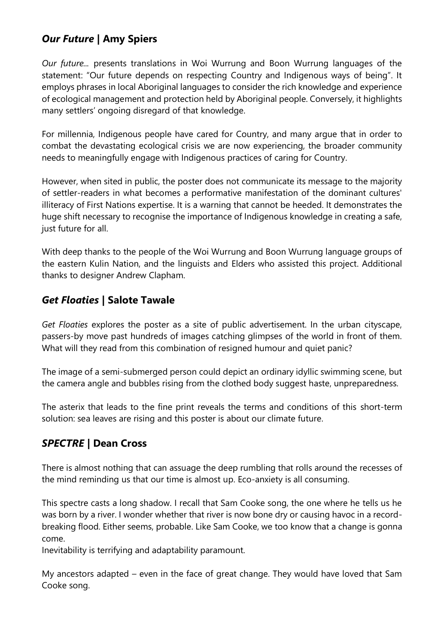# *Our Future* **| Amy Spiers**

*Our future...* presents translations in Woi Wurrung and Boon Wurrung languages of the statement: "Our future depends on respecting Country and Indigenous ways of being". It employs phrases in local Aboriginal languages to consider the rich knowledge and experience of ecological management and protection held by Aboriginal people. Conversely, it highlights many settlers' ongoing disregard of that knowledge.

For millennia, Indigenous people have cared for Country, and many argue that in order to combat the devastating ecological crisis we are now experiencing, the broader community needs to meaningfully engage with Indigenous practices of caring for Country.

However, when sited in public, the poster does not communicate its message to the majority of settler-readers in what becomes a performative manifestation of the dominant cultures' illiteracy of First Nations expertise. It is a warning that cannot be heeded. It demonstrates the huge shift necessary to recognise the importance of Indigenous knowledge in creating a safe, just future for all.

With deep thanks to the people of the Woi Wurrung and Boon Wurrung language groups of the eastern Kulin Nation, and the linguists and Elders who assisted this project. Additional thanks to designer Andrew Clapham.

### *Get Floaties* **| Salote Tawale**

*Get Floaties* explores the poster as a site of public advertisement. In the urban cityscape, passers-by move past hundreds of images catching glimpses of the world in front of them. What will they read from this combination of resigned humour and quiet panic?

The image of a semi-submerged person could depict an ordinary idyllic swimming scene, but the camera angle and bubbles rising from the clothed body suggest haste, unpreparedness.

The asterix that leads to the fine print reveals the terms and conditions of this short-term solution: sea leaves are rising and this poster is about our climate future.

# *SPECTRE* **| Dean Cross**

There is almost nothing that can assuage the deep rumbling that rolls around the recesses of the mind reminding us that our time is almost up. Eco-anxiety is all consuming.

This spectre casts a long shadow. I recall that Sam Cooke song, the one where he tells us he was born by a river. I wonder whether that river is now bone dry or causing havoc in a recordbreaking flood. Either seems, probable. Like Sam Cooke, we too know that a change is gonna come.

Inevitability is terrifying and adaptability paramount.

My ancestors adapted – even in the face of great change. They would have loved that Sam Cooke song.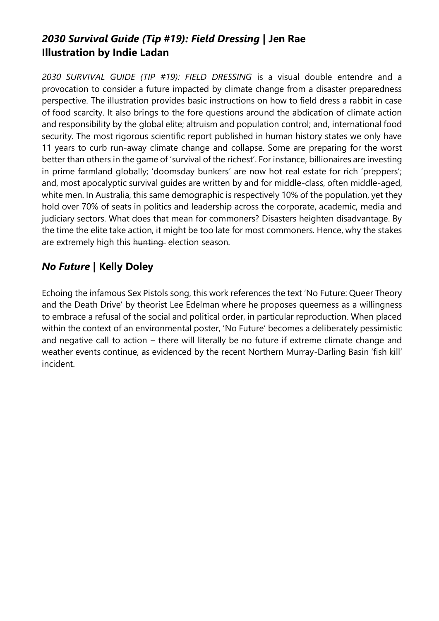# *2030 Survival Guide (Tip #19): Field Dressing* **| Jen Rae Illustration by Indie Ladan**

*2030 SURVIVAL GUIDE (TIP #19): FIELD DRESSING* is a visual double entendre and a provocation to consider a future impacted by climate change from a disaster preparedness perspective. The illustration provides basic instructions on how to field dress a rabbit in case of food scarcity. It also brings to the fore questions around the abdication of climate action and responsibility by the global elite; altruism and population control; and, international food security. The most rigorous scientific report published in human history states we only have 11 years to curb run-away climate change and collapse. Some are preparing for the worst better than others in the game of 'survival of the richest'. For instance, billionaires are investing in prime farmland globally; 'doomsday bunkers' are now hot real estate for rich 'preppers'; and, most apocalyptic survival guides are written by and for middle-class, often middle-aged, white men. In Australia, this same demographic is respectively 10% of the population, yet they hold over 70% of seats in politics and leadership across the corporate, academic, media and judiciary sectors. What does that mean for commoners? Disasters heighten disadvantage. By the time the elite take action, it might be too late for most commoners. Hence, why the stakes are extremely high this hunting election season.

# *No Future* **| Kelly Doley**

Echoing the infamous Sex Pistols song, this work references the text 'No Future: Queer Theory and the Death Drive' by theorist Lee Edelman where he proposes queerness as a willingness to embrace a refusal of the social and political order, in particular reproduction. When placed within the context of an environmental poster, 'No Future' becomes a deliberately pessimistic and negative call to action – there will literally be no future if extreme climate change and weather events continue, as evidenced by the recent Northern Murray-Darling Basin 'fish kill' incident.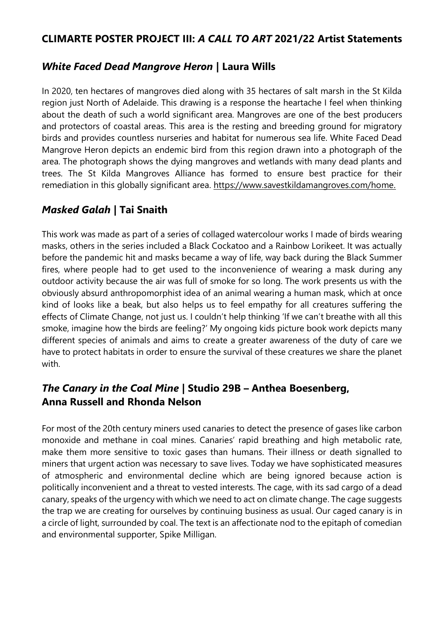#### **CLIMARTE POSTER PROJECT III:** *A CALL TO ART* **2021/22 Artist Statements**

### *White Faced Dead Mangrove Heron* **| Laura Wills**

In 2020, ten hectares of mangroves died along with 35 hectares of salt marsh in the St Kilda region just North of Adelaide. This drawing is a response the heartache I feel when thinking about the death of such a world significant area. Mangroves are one of the best producers and protectors of coastal areas. This area is the resting and breeding ground for migratory birds and provides countless nurseries and habitat for numerous sea life. White Faced Dead Mangrove Heron depicts an endemic bird from this region drawn into a photograph of the area. The photograph shows the dying mangroves and wetlands with many dead plants and trees. The St Kilda Mangroves Alliance has formed to ensure best practice for their remediation in this globally significant area. [https://www.savestkildamangroves.com/home.](https://www.savestkildamangroves.com/home)

## *Masked Galah* **| Tai Snaith**

This work was made as part of a series of collaged watercolour works I made of birds wearing masks, others in the series included a Black Cockatoo and a Rainbow Lorikeet. It was actually before the pandemic hit and masks became a way of life, way back during the Black Summer fires, where people had to get used to the inconvenience of wearing a mask during any outdoor activity because the air was full of smoke for so long. The work presents us with the obviously absurd anthropomorphist idea of an animal wearing a human mask, which at once kind of looks like a beak, but also helps us to feel empathy for all creatures suffering the effects of Climate Change, not just us. I couldn't help thinking 'If we can't breathe with all this smoke, imagine how the birds are feeling?' My ongoing kids picture book work depicts many different species of animals and aims to create a greater awareness of the duty of care we have to protect habitats in order to ensure the survival of these creatures we share the planet with.

### *The Canary in the Coal Mine* **| Studio 29B – Anthea Boesenberg, Anna Russell and Rhonda Nelson**

For most of the 20th century miners used canaries to detect the presence of gases like carbon monoxide and methane in coal mines. Canaries' rapid breathing and high metabolic rate, make them more sensitive to toxic gases than humans. Their illness or death signalled to miners that urgent action was necessary to save lives. Today we have sophisticated measures of atmospheric and environmental decline which are being ignored because action is politically inconvenient and a threat to vested interests. The cage, with its sad cargo of a dead canary, speaks of the urgency with which we need to act on climate change. The cage suggests the trap we are creating for ourselves by continuing business as usual. Our caged canary is in a circle of light, surrounded by coal. The text is an affectionate nod to the epitaph of comedian and environmental supporter, Spike Milligan.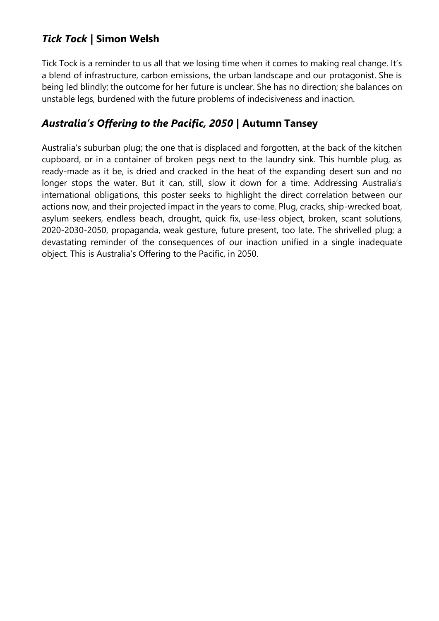# *Tick Tock* **| Simon Welsh**

Tick Tock is a reminder to us all that we losing time when it comes to making real change. It's a blend of infrastructure, carbon emissions, the urban landscape and our protagonist. She is being led blindly; the outcome for her future is unclear. She has no direction; she balances on unstable legs, burdened with the future problems of indecisiveness and inaction.

### *Australia's Offering to the Pacific, 2050* **| Autumn Tansey**

Australia's suburban plug; the one that is displaced and forgotten, at the back of the kitchen cupboard, or in a container of broken pegs next to the laundry sink. This humble plug, as ready-made as it be, is dried and cracked in the heat of the expanding desert sun and no longer stops the water. But it can, still, slow it down for a time. Addressing Australia's international obligations, this poster seeks to highlight the direct correlation between our actions now, and their projected impact in the years to come. Plug, cracks, ship-wrecked boat, asylum seekers, endless beach, drought, quick fix, use-less object, broken, scant solutions, 2020-2030-2050, propaganda, weak gesture, future present, too late. The shrivelled plug; a devastating reminder of the consequences of our inaction unified in a single inadequate object. This is Australia's Offering to the Pacific, in 2050.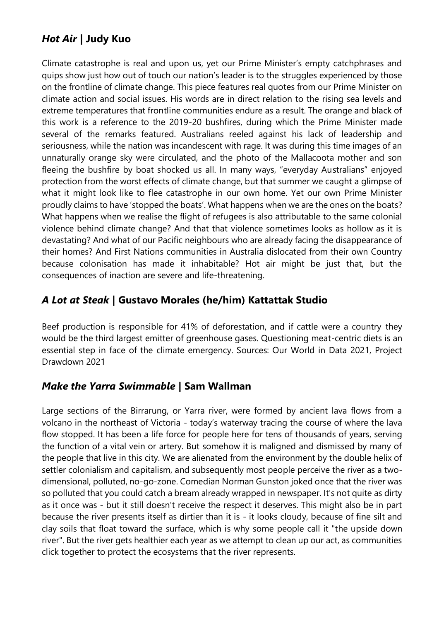# *Hot Air* **| Judy Kuo**

Climate catastrophe is real and upon us, yet our Prime Minister's empty catchphrases and quips show just how out of touch our nation's leader is to the struggles experienced by those on the frontline of climate change. This piece features real quotes from our Prime Minister on climate action and social issues. His words are in direct relation to the rising sea levels and extreme temperatures that frontline communities endure as a result. The orange and black of this work is a reference to the 2019-20 bushfires, during which the Prime Minister made several of the remarks featured. Australians reeled against his lack of leadership and seriousness, while the nation was incandescent with rage. It was during this time images of an unnaturally orange sky were circulated, and the photo of the Mallacoota mother and son fleeing the bushfire by boat shocked us all. In many ways, "everyday Australians" enjoyed protection from the worst effects of climate change, but that summer we caught a glimpse of what it might look like to flee catastrophe in our own home. Yet our own Prime Minister proudly claims to have 'stopped the boats'. What happens when we are the ones on the boats? What happens when we realise the flight of refugees is also attributable to the same colonial violence behind climate change? And that that violence sometimes looks as hollow as it is devastating? And what of our Pacific neighbours who are already facing the disappearance of their homes? And First Nations communities in Australia dislocated from their own Country because colonisation has made it inhabitable? Hot air might be just that, but the consequences of inaction are severe and life-threatening.

## *A Lot at Steak* **| Gustavo Morales (he/him) Kattattak Studio**

Beef production is responsible for 41% of deforestation, and if cattle were a country they would be the third largest emitter of greenhouse gases. Questioning meat-centric diets is an essential step in face of the climate emergency. Sources: Our World in Data 2021, Project Drawdown 2021

### *Make the Yarra Swimmable* **| Sam Wallman**

Large sections of the Birrarung, or Yarra river, were formed by ancient lava flows from a volcano in the northeast of Victoria - today's waterway tracing the course of where the lava flow stopped. It has been a life force for people here for tens of thousands of years, serving the function of a vital vein or artery. But somehow it is maligned and dismissed by many of the people that live in this city. We are alienated from the environment by the double helix of settler colonialism and capitalism, and subsequently most people perceive the river as a twodimensional, polluted, no-go-zone. Comedian Norman Gunston joked once that the river was so polluted that you could catch a bream already wrapped in newspaper. It's not quite as dirty as it once was - but it still doesn't receive the respect it deserves. This might also be in part because the river presents itself as dirtier than it is - it looks cloudy, because of fine silt and clay soils that float toward the surface, which is why some people call it "the upside down river". But the river gets healthier each year as we attempt to clean up our act, as communities click together to protect the ecosystems that the river represents.